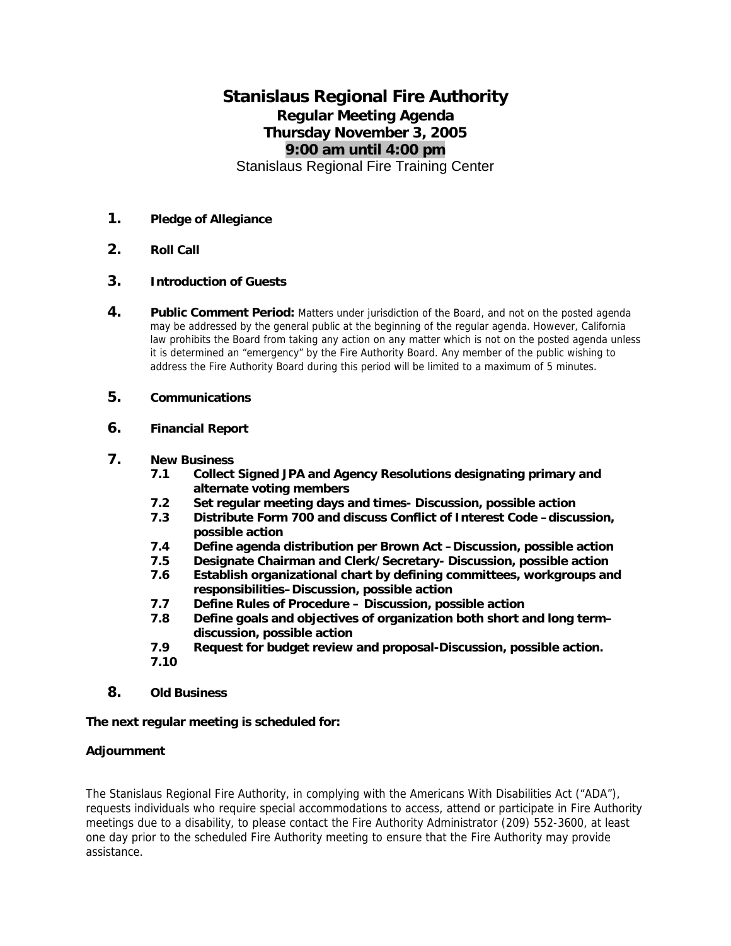# **Stanislaus Regional Fire Authority Regular Meeting Agenda Thursday November 3, 2005 9:00 am until 4:00 pm**  Stanislaus Regional Fire Training Center

# **1. Pledge of Allegiance**

**2. Roll Call** 

## **3. Introduction of Guests**

**4.** Public Comment Period: Matters under jurisdiction of the Board, and not on the posted agenda may be addressed by the general public at the beginning of the regular agenda. However, California law prohibits the Board from taking any action on any matter which is not on the posted agenda unless it is determined an "emergency" by the Fire Authority Board. Any member of the public wishing to address the Fire Authority Board during this period will be limited to a maximum of 5 minutes.

# **5. Communications**

## **6. Financial Report**

## **7. New Business**

- **7.1 Collect Signed JPA and Agency Resolutions designating primary and alternate voting members**
- **7.2 Set regular meeting days and times- Discussion, possible action**
- **7.3 Distribute Form 700 and discuss Conflict of Interest Code –discussion, possible action**
- **7.4 Define agenda distribution per Brown Act –Discussion, possible action**
- **7.5 Designate Chairman and Clerk/Secretary- Discussion, possible action**
- **7.6 Establish organizational chart by defining committees, workgroups and responsibilities–Discussion, possible action**
- **7.7 Define Rules of Procedure Discussion, possible action**
- **7.8 Define goals and objectives of organization both short and long term– discussion, possible action**
- **7.9 Request for budget review and proposal-Discussion, possible action.**
- **7.10**
- **8. Old Business**

#### **The next regular meeting is scheduled for:**

#### **Adjournment**

The Stanislaus Regional Fire Authority, in complying with the Americans With Disabilities Act ("ADA"), requests individuals who require special accommodations to access, attend or participate in Fire Authority meetings due to a disability, to please contact the Fire Authority Administrator (209) 552-3600, at least one day prior to the scheduled Fire Authority meeting to ensure that the Fire Authority may provide assistance.